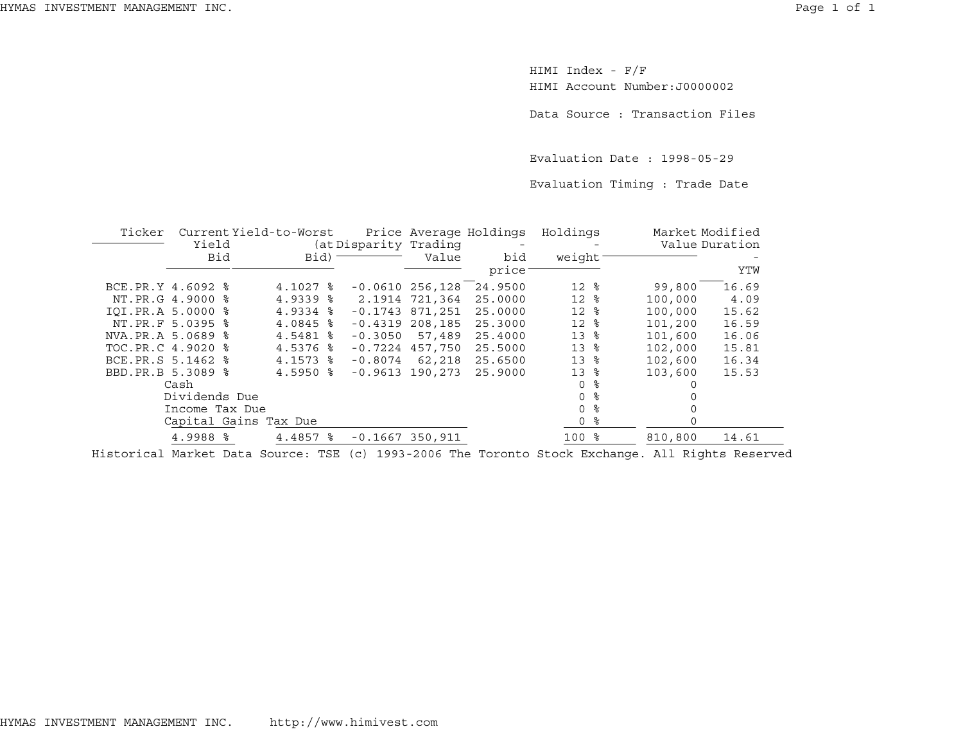HIMI Index - F/F HIMI Account Number:J0000002

Data Source : Transaction Files

Evaluation Date : 1998-05-29

Evaluation Timing : Trade Date

| Ticker            |                        | Current Yield-to-Worst |                        |           | Price Average Holdings |         | Holdings        |                | Market Modified |       |
|-------------------|------------------------|------------------------|------------------------|-----------|------------------------|---------|-----------------|----------------|-----------------|-------|
|                   | Yield                  |                        | (at Disparity Trading  |           |                        |         |                 | Value Duration |                 |       |
|                   | Bid                    |                        | Bid)                   |           | Value                  | bid     | weight          |                |                 |       |
|                   |                        |                        |                        |           |                        | price   |                 |                |                 | YTW   |
| BCE.PR.Y 4.6092 % |                        |                        | $4.1027$ $\approx$     |           | $-0.0610256,128$       | 24.9500 | $12*$           |                | 99,800          | 16.69 |
|                   | NT. PR. G 4.9000 %     |                        | $4.9339$ $8$           |           | 2.1914 721,364         | 25.0000 | 12 <sup>8</sup> |                | 100,000         | 4.09  |
| IOI.PR.A 5.0000 % |                        |                        | $4.9334$ $8$           |           | $-0.1743$ 871,251      | 25.0000 | $12*$           |                | 100,000         | 15.62 |
|                   | NT.PR.F 5.0395 %       |                        | $4.0845$ %             | $-0.4319$ | 208,185                | 25.3000 | $12*$           |                | 101,200         | 16.59 |
| NVA.PR.A 5.0689 % |                        |                        | 4.5481 %               | $-0.3050$ | 57,489                 | 25.4000 | 13              | ႜ              | 101,600         | 16.06 |
| TOC.PR.C 4.9020 % |                        |                        | $4.5376$ $\frac{6}{5}$ |           | $-0.7224$ 457,750      | 25.5000 | 13              | ႜ              | 102,000         | 15.81 |
| BCE.PR.S 5.1462 % |                        |                        | $4.1573$ $\frac{6}{5}$ | $-0.8074$ | 62,218                 | 25.6500 | 13              | ႜ              | 102,600         | 16.34 |
| BBD.PR.B 5.3089 % |                        |                        | $4.5950$ $8$           |           | $-0.9613$ 190.273      | 25.9000 | 13 <sup>8</sup> |                | 103,600         | 15.53 |
|                   | Cash                   |                        |                        |           |                        |         | $\Omega$        | ႜ              |                 |       |
|                   | Dividends Due          |                        |                        |           |                        |         | $\Omega$        | ႜ              |                 |       |
|                   | Income Tax Due         |                        |                        |           |                        |         | $\Omega$        | ႜ              |                 |       |
|                   | Capital Gains Tax Due  |                        |                        |           |                        |         | $\Omega$        | ႜ              | $\Omega$        |       |
|                   | $4.9988$ $\frac{8}{3}$ |                        | $4.4857$ $\frac{8}{3}$ |           | $-0.1667$ 350,911      |         | $100$ %         |                | 810,800         | 14.61 |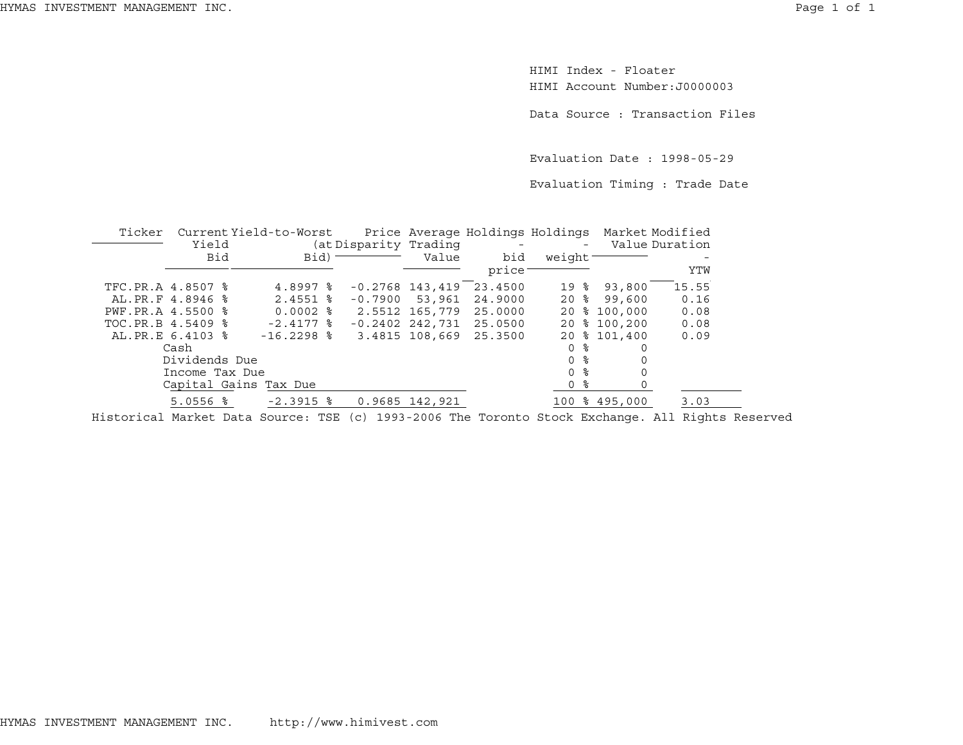HIMI Index - FloaterHIMI Account Number:J0000003

Data Source : Transaction Files

Evaluation Date : 1998-05-29

Evaluation Timing : Trade Date

| Ticker            |                        |  | Current Yield-to-Worst |  |                       |                   |              |                     | Price Average Holdings Holdings Market Modified |               |                |
|-------------------|------------------------|--|------------------------|--|-----------------------|-------------------|--------------|---------------------|-------------------------------------------------|---------------|----------------|
|                   | Yield                  |  |                        |  | (at Disparity Trading |                   |              |                     |                                                 |               | Value Duration |
|                   | Bid                    |  | Bid)                   |  |                       |                   | Value<br>bid | weight <sup>-</sup> |                                                 |               |                |
|                   |                        |  |                        |  |                       |                   | price        |                     |                                                 |               | YTW            |
| TFC.PR.A 4.8507 % |                        |  | $4.8997$ $\frac{6}{5}$ |  |                       | $-0.2768$ 143,419 | 23.4500      | 19                  | ႜ                                               | 93,800        | 15.55          |
| AL.PR.F 4.8946 %  |                        |  | $2.4551$ $\frac{6}{5}$ |  |                       | $-0.7900$ 53,961  | 24.9000      | 20%                 |                                                 | 99,600        | 0.16           |
| PWF.PR.A 4.5500 % |                        |  | $0.0002$ %             |  |                       | 2.5512 165,779    | 25,0000      | 20                  |                                                 | \$100.000     | 0.08           |
| TOC.PR.B 4.5409 % |                        |  | $-2.4177$ %            |  |                       | $-0.2402$ 242,731 | 25.0500      | 20                  |                                                 | % 100,200     | 0.08           |
| AL. PR.E 6.4103 % |                        |  | $-16.2298$ %           |  |                       | 3.4815 108,669    | 25.3500      |                     |                                                 | 20 % 101,400  | 0.09           |
|                   | Cash                   |  |                        |  |                       |                   |              | 0 %                 |                                                 |               |                |
|                   | Dividends Due          |  |                        |  |                       |                   |              | 0 %                 |                                                 | $\Omega$      |                |
|                   | Income Tax Due         |  |                        |  |                       |                   |              | 0 <sup>8</sup>      |                                                 |               |                |
|                   |                        |  | Capital Gains Tax Due  |  |                       |                   |              | 0 %                 |                                                 |               |                |
|                   | $5.0556$ $\frac{6}{5}$ |  | $-2.3915$ %            |  |                       | 0.9685 142,921    |              |                     |                                                 | 100 % 495,000 | 3.03           |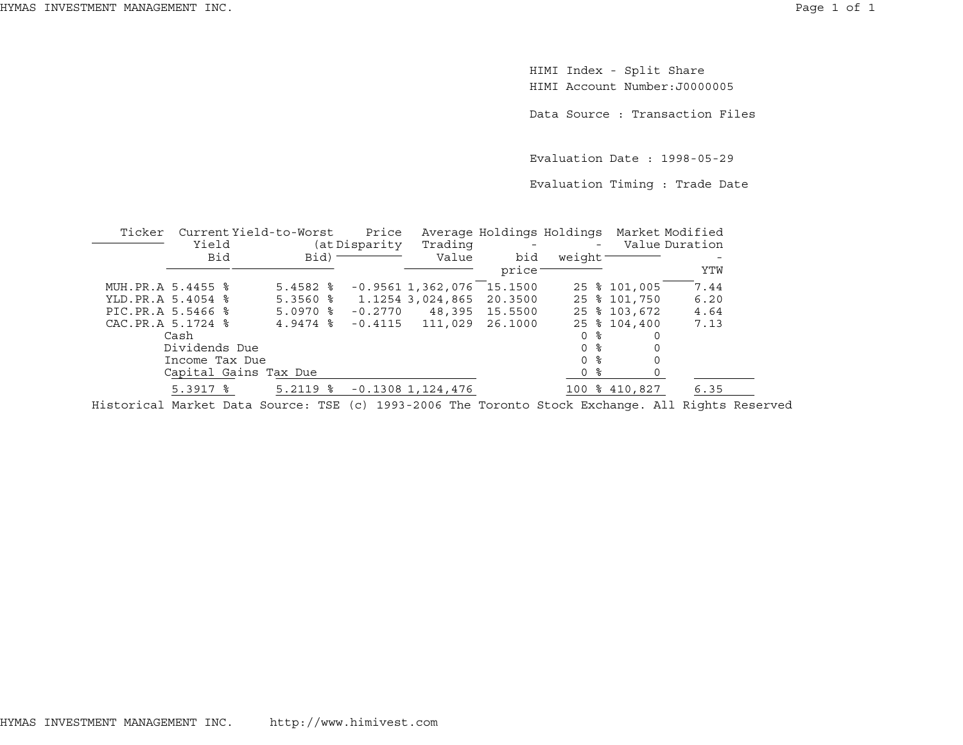HIMI Index - Split Share HIMI Account Number:J0000005

Data Source : Transaction Files

Evaluation Date : 1998-05-29

Evaluation Timing : Trade Date

| Ticker            |                        | Current Yield-to-Worst | Price          |                       | Average Holdings Holdings Market Modified |          |               |                |
|-------------------|------------------------|------------------------|----------------|-----------------------|-------------------------------------------|----------|---------------|----------------|
|                   | Yield                  |                        | (at Disparity) | Trading               |                                           | $\equiv$ |               | Value Duration |
|                   | Bid                    | $Bid$ ) –              |                | Value                 | bid                                       | weight   |               |                |
|                   |                        |                        |                |                       | price:                                    |          |               | YTW            |
| MUH.PR.A 5.4455 % |                        | $5.4582$ $%$           |                | $-0.95611,362,076$    | 15.1500                                   |          | 25 % 101,005  | 7.44           |
| YLD.PR.A 5.4054 % |                        | $5.3560$ $8$           |                | 1.1254 3,024,865      | 20.3500                                   |          | 25 % 101,750  | 6.20           |
| PIC.PR.A 5.5466 % |                        | $5.0970$ $\frac{6}{5}$ | $-0.2770$      |                       | 48,395 15.5500                            |          | 25 % 103,672  | 4.64           |
| CAC.PR.A 5.1724 % |                        | $4.9474$ $\frac{8}{9}$ |                | $-0.4115$ $111,029$   | 26.1000                                   |          | 25 % 104,400  | 7.13           |
|                   | Cash                   |                        |                |                       |                                           | 0 %      | 0             |                |
|                   | Dividends Due          |                        |                |                       |                                           | 0 %      |               |                |
|                   | Income Tax Due         |                        |                |                       |                                           | 0 %      | 0             |                |
|                   |                        | Capital Gains Tax Due  |                |                       |                                           | 0 %      |               |                |
|                   | $5.3917$ $\frac{6}{5}$ | $5.2119$ $\frac{6}{5}$ |                | $-0.1308$ 1, 124, 476 |                                           |          | 100 % 410,827 | 6.35           |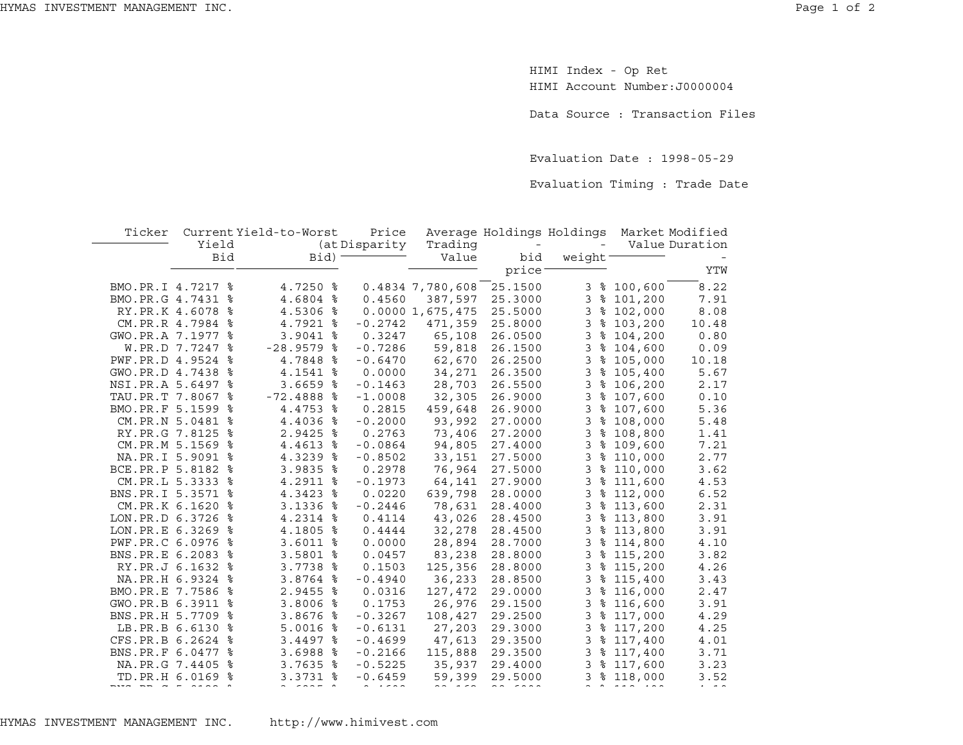HIMI Index - Op Ret HIMI Account Number:J0000004

Data Source : Transaction Files

Evaluation Date : 1998-05-29

Evaluation Timing : Trade Date

| Ticker            |       |     | Current Yield-to-Worst |   | Price         |                  | Average Holdings Holdings |                |             | Market Modified |
|-------------------|-------|-----|------------------------|---|---------------|------------------|---------------------------|----------------|-------------|-----------------|
|                   | Yield |     |                        |   | (at Disparity | Trading          | $\qquad \qquad -$         |                |             | Value Duration  |
|                   |       | Bid | Bid)                   |   |               | Value            | bid                       | weight         |             |                 |
|                   |       |     |                        |   |               |                  | price <sup>-</sup>        |                |             | YTW             |
| BMO.PR.I 4.7217 % |       |     | 4.7250 %               |   |               | 0.4834 7,780,608 | 25.1500                   |                | 3 % 100,600 | 8.22            |
| BMO.PR.G 4.7431   |       | ႜ   | 4.6804 %               |   | 0.4560        | 387,597          | 25.3000                   | 3              | \$101,200   | 7.91            |
| RY.PR.K 4.6078    |       | ႜ   | 4.5306 %               |   |               | 0.00001,675,475  | 25.5000                   | 3              | \$102,000   | 8.08            |
| CM.PR.R 4.7984    |       | ႜ   | 4.7921 %               |   | $-0.2742$     | 471,359          | 25.8000                   | 3              | \$103,200   | 10.48           |
| GWO.PR.A 7.1977   |       | ႜ   | $3.9041$ %             |   | 0.3247        | 65,108           | 26.0500                   | 3              | \$104,200   | 0.80            |
| W.PR.D 7.7247     |       | ႜ   | $-28.9579$ %           |   | $-0.7286$     | 59,818           | 26.1500                   | 3              | \$104,600   | 0.09            |
| PWF.PR.D 4.9524   |       | ႜ   | 4.7848 %               |   | $-0.6470$     | 62,670           | 26.2500                   | 3              | \$105,000   | 10.18           |
| GWO.PR.D 4.7438   |       | ႜ   | 4.1541 %               |   | 0.0000        | 34,271           | 26.3500                   | 3              | \$105,400   | 5.67            |
| NSI.PR.A 5.6497   |       | ႜ   | $3.6659$ $8$           |   | $-0.1463$     | 28,703           | 26.5500                   | 3              | \$106, 200  | 2.17            |
| TAU.PR.T 7.8067   |       | ႜ   | $-72.4888$ %           |   | $-1.0008$     | 32,305           | 26.9000                   | 3              | \$107,600   | 0.10            |
| BMO.PR.F 5.1599   |       | ႜ   | 4.4753 %               |   | 0.2815        | 459,648          | 26.9000                   | 3              | \$107,600   | 5.36            |
| CM.PR.N 5.0481 %  |       |     | 4.4036 %               |   | $-0.2000$     | 93,992           | 27.0000                   | 3              | \$108,000   | 5.48            |
| RY. PR. G 7.8125  |       | ႜ   | $2.9425$ %             |   | 0.2763        | 73,406           | 27.2000                   | 3              | \$108,800   | 1.41            |
| CM.PR.M 5.1569    |       | ႜ   | 4.4613 %               |   | $-0.0864$     | 94,805           | 27.4000                   | 3              | \$109,600   | 7.21            |
| NA.PR.I 5.9091    |       | ႜ   | 4.3239 %               |   | $-0.8502$     | 33,151           | 27.5000                   | 3              | \$110,000   | 2.77            |
| BCE.PR.P 5.8182   |       | ႜ   | $3.9835$ $8$           |   | 0.2978        | 76,964           | 27.5000                   | 3              | \$110,000   | 3.62            |
| CM.PR.L 5.3333    |       | ႜ   | 4.2911 %               |   | $-0.1973$     | 64,141           | 27.9000                   | 3              | \$111,600   | 4.53            |
| BNS.PR.I 5.3571   |       | ႜ   | 4.3423 %               |   | 0.0220        | 639,798          | 28.0000                   | 3              | \$112,000   | 6.52            |
| CM.PR.K 6.1620    |       | ႜ   | $3.1336$ %             |   | $-0.2446$     | 78,631           | 28.4000                   | 3              | \$113,600   | 2.31            |
| LON.PR.D 6.3726   |       | ႜ   | 4.2314 %               |   | 0.4114        | 43,026           | 28.4500                   | 3              | \$113,800   | 3.91            |
| LON.PR.E 6.3269   |       | ႜ   | 4.1805 %               |   | 0.4444        | 32,278           | 28.4500                   | 3              | \$113,800   | 3.91            |
| PWF.PR.C 6.0976   |       | ႜ   | $3.6011$ %             |   | 0.0000        | 28,894           | 28.7000                   | 3              | \$114,800   | 4.10            |
| BNS.PR.E 6.2083   |       | ႜ   | 3.5801 %               |   | 0.0457        | 83,238           | 28.8000                   | 3              | \$115,200   | 3.82            |
| RY.PR.J 6.1632    |       | ႜ   | 3.7738 %               |   | 0.1503        | 125,356          | 28.8000                   | 3              | \$115,200   | 4.26            |
| NA.PR.H 6.9324    |       | ႜ   | 3.8764 %               |   | $-0.4940$     | 36,233           | 28.8500                   | 3              | \$115,400   | 3.43            |
| BMO.PR.E 7.7586   |       | ႜ   | 2.9455 %               |   | 0.0316        | 127,472          | 29.0000                   | 3              | \$116,000   | 2.47            |
| GWO.PR.B 6.3911   |       | ႜ   | 3.8006 %               |   | 0.1753        | 26,976           | 29.1500                   | 3              | \$116,600   | 3.91            |
| BNS.PR.H 5.7709   |       | ႜ   | 3.8676 %               |   | $-0.3267$     | 108,427          | 29.2500                   | 3              | \$117,000   | 4.29            |
| LB.PR.B 6.6130    |       | ႜ   | $5.0016$ %             |   | $-0.6131$     | 27,203           | 29.3000                   | 3              | \$117,200   | 4.25            |
| CFS.PR.B 6.2624   |       | ႜ   | $3.4497$ $8$           |   | $-0.4699$     | 47,613           | 29.3500                   | 3              | \$117,400   | 4.01            |
| BNS.PR.F 6.0477   |       | ႜ   | 3.6988                 | ႜ | $-0.2166$     | 115,888          | 29.3500                   | 3              | \$117,400   | 3.71            |
| NA.PR.G 7.4405    |       | ႜ   | $3.7635$ $8$           |   | $-0.5225$     | 35,937           | 29.4000                   | 3              | \$117,600   | 3.23            |
| TD.PR.H 6.0169 %  |       |     | $3.3731$ $8$           |   | $-0.6459$     | 59,399           | 29.5000                   | $\overline{3}$ | \$118,000   | 3.52            |
|                   |       |     |                        |   |               |                  |                           |                |             |                 |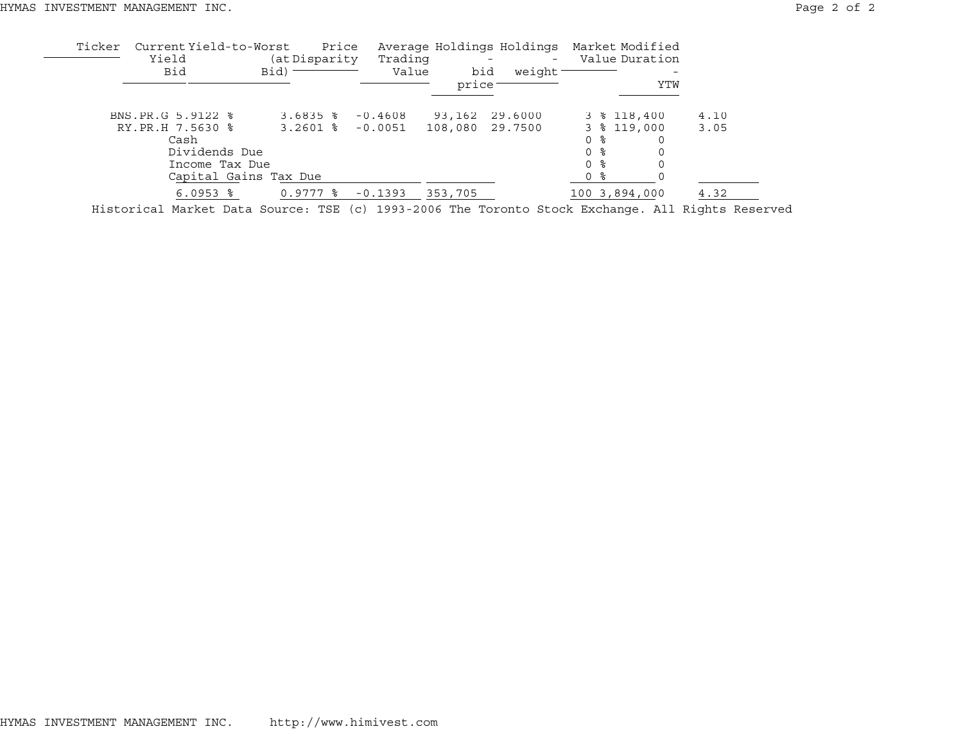| 4.10 |
|------|
| 3.05 |
|      |
|      |
|      |
|      |
| 4.32 |
|      |